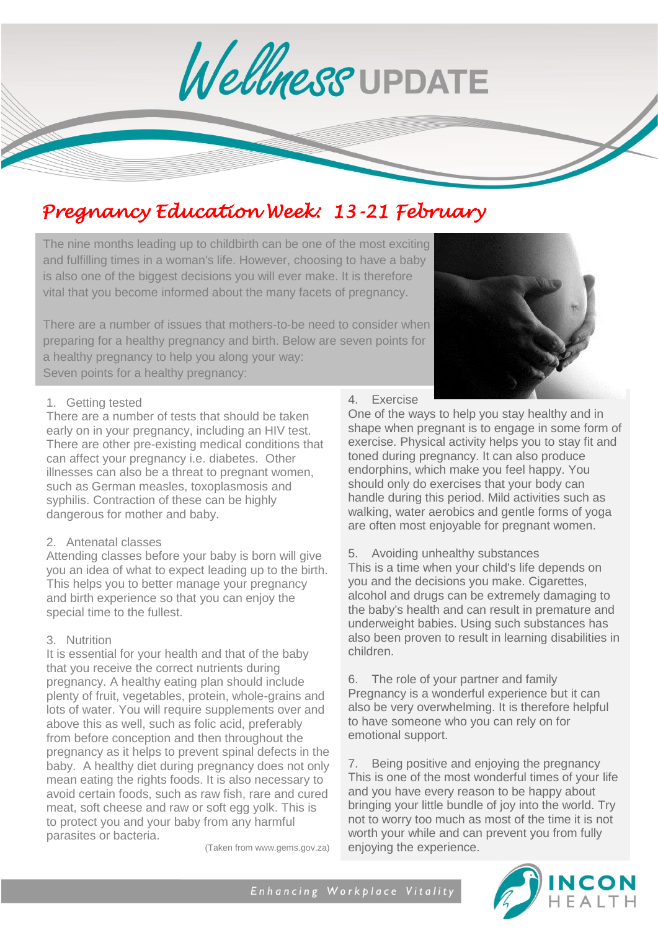Wellness UPDATE

## *Pregnancy Education Week: 13-21 February*

The nine months leading up to childbirth can be one of the most exciting and fulfilling times in a woman's life. However, choosing to have a baby is also one of the biggest decisions you will ever make. It is therefore vital that you become informed about the many facets of pregnancy.

There are a number of issues that mothers-to-be need to consider when preparing for a healthy pregnancy and birth. Below are seven points for a healthy pregnancy to help you along your way: Seven points for a healthy pregnancy:

#### 1. Getting tested

There are a number of tests that should be taken early on in your pregnancy, including an HIV test. There are other pre-existing medical conditions that can affect your pregnancy i.e. diabetes. Other illnesses can also be a threat to pregnant women, such as German measles, toxoplasmosis and syphilis. Contraction of these can be highly dangerous for mother and baby.

#### 2. Antenatal classes

Attending classes before your baby is born will give you an idea of what to expect leading up to the birth. This helps you to better manage your pregnancy and birth experience so that you can enjoy the special time to the fullest.

#### 3. Nutrition

It is essential for your health and that of the baby that you receive the correct nutrients during pregnancy. A healthy eating plan should include plenty of fruit, vegetables, protein, whole-grains and lots of water. You will require supplements over and above this as well, such as folic acid, preferably from before conception and then throughout the pregnancy as it helps to prevent spinal defects in the baby. A healthy diet during pregnancy does not only mean eating the rights foods. It is also necessary to avoid certain foods, such as raw fish, rare and cured meat, soft cheese and raw or soft egg yolk. This is to protect you and your baby from any harmful parasites or bacteria.

(Taken from www.gems.gov.za)

#### 4. Exercise

One of the ways to help you stay healthy and in shape when pregnant is to engage in some form of exercise. Physical activity helps you to stay fit and toned during pregnancy. It can also produce endorphins, which make you feel happy. You should only do exercises that your body can handle during this period. Mild activities such as walking, water aerobics and gentle forms of yoga are often most enjoyable for pregnant women.

5. Avoiding unhealthy substances

This is a time when your child's life depends on you and the decisions you make. Cigarettes, alcohol and drugs can be extremely damaging to the baby's health and can result in premature and underweight babies. Using such substances has also been proven to result in learning disabilities in children.

6. The role of your partner and family Pregnancy is a wonderful experience but it can also be very overwhelming. It is therefore helpful to have someone who you can rely on for emotional support.

7. Being positive and enjoying the pregnancy This is one of the most wonderful times of your life and you have every reason to be happy about bringing your little bundle of joy into the world. Try not to worry too much as most of the time it is not worth your while and can prevent you from fully enjoying the experience.

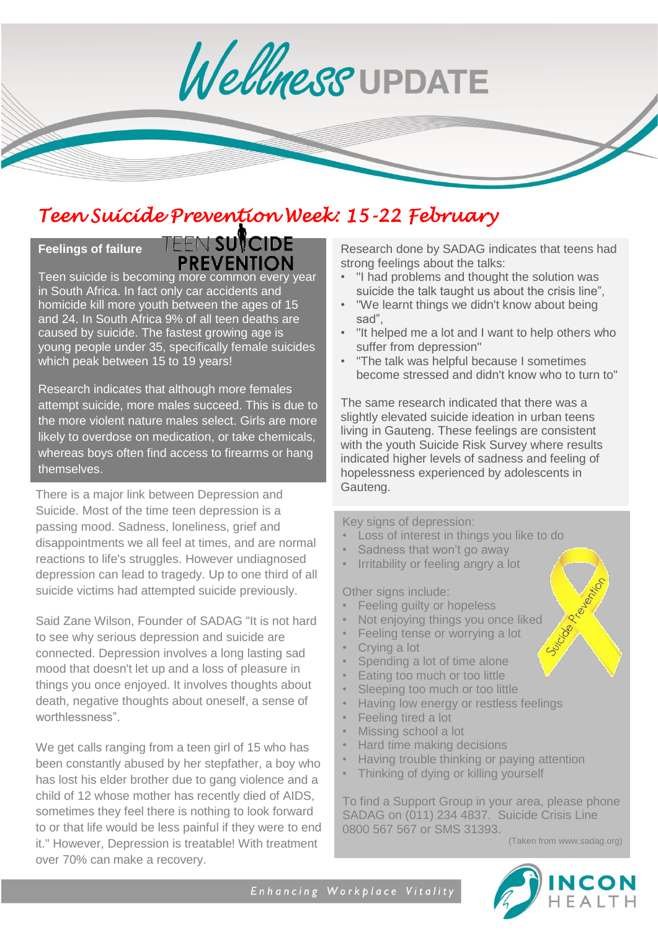Wellness UPDATE

# *Teen Suicid[e Prevention W](http://carteblanche.dstv.com/teen-suicide-1-2/)eek: 15-22 February*

## **Feelings of failure**

**TEEN SUVCIDE PREVENTION** 

Teen suicide is becoming more common every year in South Africa. In fact only car accidents and homicide kill more youth between the ages of 15 and 24. In South Africa 9% of all teen deaths are caused by suicide. The fastest growing age is young people under 35, specifically female suicides which peak between 15 to 19 years!

Research indicates that although more females attempt suicide, more males succeed. This is due to the more violent nature males select. Girls are more likely to overdose on medication, or take chemicals, whereas boys often find access to firearms or hang themselves.

There is a major link between Depression and Gauteng. Suicide. Most of the time teen depression is a passing mood. Sadness, loneliness, grief and disappointments we all feel at times, and are normal reactions to life's struggles. However undiagnosed depression can lead to tragedy. Up to one third of all suicide victims had attempted suicide previously.

Said Zane Wilson, Founder of SADAG "It is not hard to see why serious depression and suicide are connected. Depression involves a long lasting sad mood that doesn't let up and a loss of pleasure in things you once enjoyed. It involves thoughts about death, negative thoughts about oneself, a sense of worthlessness".

We get calls ranging from a teen girl of 15 who has been constantly abused by her stepfather, a boy who has lost his elder brother due to gang violence and a child of 12 whose mother has recently died of AIDS, sometimes they feel there is nothing to look forward to or that life would be less painful if they were to end it." However, Depression is treatable! With treatment over 70% can make a recovery.

Research done by SADAG indicates that teens had strong feelings about the talks:

- "I had problems and thought the solution was suicide the talk taught us about the crisis line",
- "We learnt things we didn't know about being sad",
- "It helped me a lot and I want to help others who suffer from depression"
- "The talk was helpful because I sometimes become stressed and didn't know who to turn to"

The same research indicated that there was a slightly elevated suicide ideation in urban teens living in Gauteng. These feelings are consistent with the youth Suicide Risk Survey where results indicated higher levels of sadness and feeling of hopelessness experienced by adolescents in

Key signs of depression:

- Loss of interest in things you like to do
- Sadness that won't go away
- Irritability or feeling angry a lot

Other signs include:

- Feeling guilty or hopeless
- Not enjoying things you once liked
- Feeling tense or worrying a lot
- Crying a lot
- Spending a lot of time alone
- Eating too much or too little
- Sleeping too much or too little
- Having low energy or restless feelings
- Feeling tired a lot
- Missing school a lot
- Hard time making decisions
- Having trouble thinking or paying attention
- Thinking of dying or killing yourself

To find a Support Group in your area, please phone SADAG on (011) 234 4837. Suicide Crisis Line 0800 567 567 or SMS 31393.

(Taken from www.sadag.org)

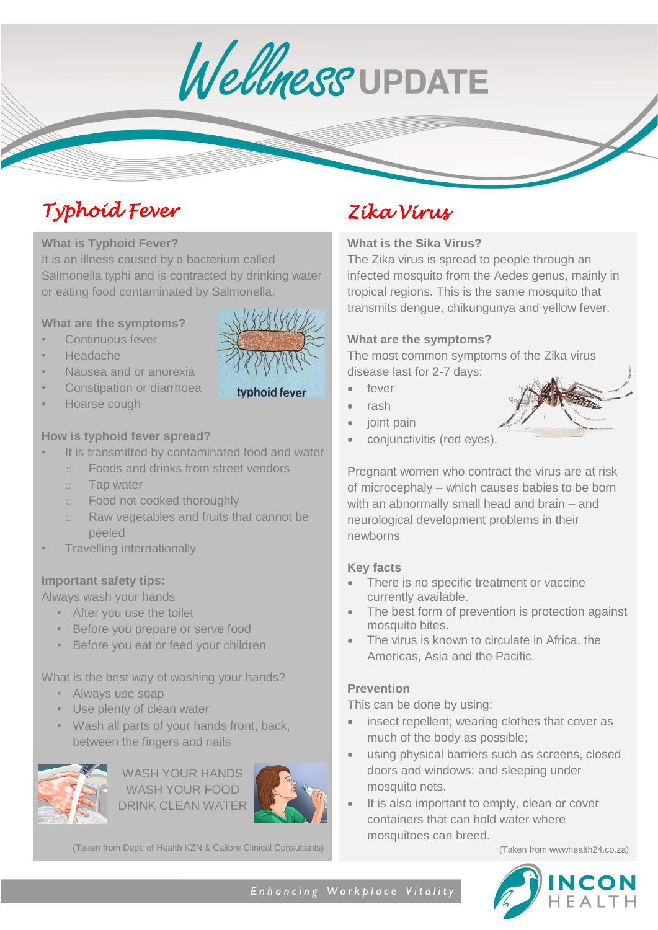Wellness UPDATE

# *Typhoid Fever Zika Virus*

#### l **What is Typhoid Fever?**

It is an illness caused by a bacterium called Salmonella typhi and is contracted by drinking water or eating food contaminated by Salmonella.

#### **What are the symptoms?**

- Continuous fever
- Headache
- Nausea and or anorexia
- Constipation or diarrhoea
- Hoarse cough



### **How is typhoid fever spread?**

- It is transmitted by contaminated food and water
	- o Foods and drinks from street vendors
	- o Tap water
	- o Food not cooked thoroughly
	- o Raw vegetables and fruits that cannot be peeled
- Travelling internationally

#### **Important safety tips:**

Always wash your hands

- After you use the toilet
- Before you prepare or serve food
- Before you eat or feed your children

What is the best way of washing your hands?

- Always use soap
- Use plenty of clean water
- Wash all parts of your hands front, back, between the fingers and nails



WASH YOUR HANDS WASH YOUR FOOD DRINK CLEAN WATER



(Taken from Dept. of Health KZN & Calibre Clinical Consultants)

### **What is the Sika Virus?**

The Zika virus is spread to people through an infected mosquito from the Aedes genus, mainly in tropical regions. This is the same mosquito that transmits dengue, chikungunya and yellow fever.

#### **What are the symptoms?**

The most common symptoms of the Zika virus disease last for 2-7 days:

- fever
- rash
- joint pain
- conjunctivitis (red eyes).

Pregnant women who contract the virus are at risk of microcephaly – which causes babies to be born with an abnormally small head and brain – and neurological development problems in their newborns

### **Key facts**

- There is no specific treatment or vaccine currently available.
- The best form of prevention is protection against mosquito bites.
- The virus is known to circulate in Africa, the Americas, Asia and the Pacific.

### **Prevention**

This can be done by using:

- insect repellent; wearing clothes that cover as much of the body as possible;
- using physical barriers such as screens, closed doors and windows; and sleeping under mosquito nets.
- It is also important to empty, clean or cover containers that can hold water where mosquitoes can breed.

(Taken from wwwhealth24.co.za)